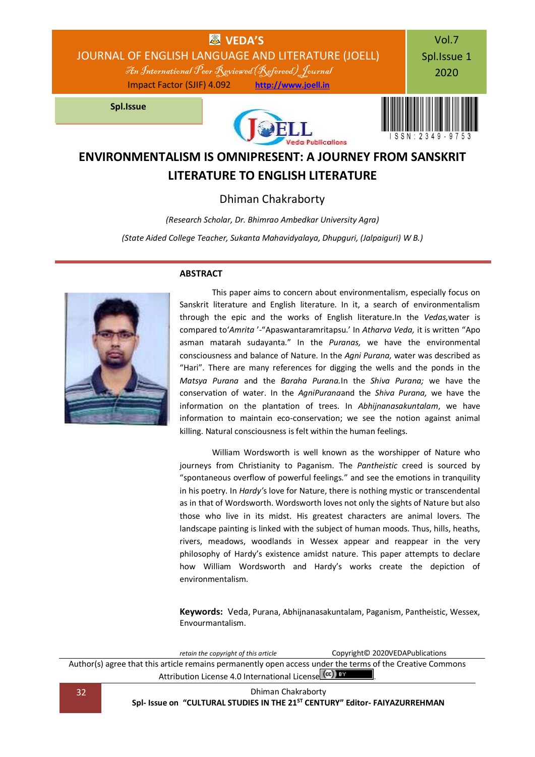

# **ENVIRONMENTALISM IS OMNIPRESENT: A JOURNEY FROM SANSKRIT LITERATURE TO ENGLISH LITERATURE**

### Dhiman Chakraborty

*(Research Scholar, Dr. Bhimrao Ambedkar University Agra)*

*(State Aided College Teacher, Sukanta Mahavidyalaya, Dhupguri, (Jalpaiguri) W B.)*



### **ABSTRACT**

This paper aims to concern about environmentalism, especially focus on Sanskrit literature and English literature. In it, a search of environmentalism through the epic and the works of English literature.In the *Vedas,*water is compared to'*Amrita* '-"Apaswantaramritapsu.' In *Atharva Veda,* it is written "Apo asman matarah sudayanta." In the *Puranas,* we have the environmental consciousness and balance of Nature. In the *Agni Purana,* water was described as "Hari". There are many references for digging the wells and the ponds in the *Matsya Purana* and the *Baraha Purana.*In the *Shiva Purana;* we have the conservation of water. In the *AgniPurana*and the *Shiva Purana,* we have the information on the plantation of trees. In *Abhijnanasakuntalam*, we have information to maintain eco-conservation; we see the notion against animal killing. Natural consciousness is felt within the human feelings.

William Wordsworth is well known as the worshipper of Nature who journeys from Christianity to Paganism. The *Pantheistic* creed is sourced by "spontaneous overflow of powerful feelings*.*" and see the emotions in tranquility in his poetry. In *Hardy'*s love for Nature, there is nothing mystic or transcendental as in that of Wordsworth. Wordsworth loves not only the sights of Nature but also those who live in its midst. His greatest characters are animal lovers. The landscape painting is linked with the subject of human moods. Thus, hills, heaths, rivers, meadows, woodlands in Wessex appear and reappear in the very philosophy of Hardy's existence amidst nature. This paper attempts to declare how William Wordsworth and Hardy's works create the depiction of environmentalism.

**Keywords:** Veda, Purana, Abhijnanasakuntalam, Paganism, Pantheistic, Wessex, Envourmantalism.

*retain the copyright of this article* Copyright© 2020VEDAPublications Author(s) agree that this article remains permanently open access under the terms of the Creative Commons Attribution Lic[e](http://creativecommons.org/licenses/by/4.0/)nse 4.0 International License  $\left(\text{cc}\right)$  is

32 Dhiman Chakraborty **Spl- Issue on "CULTURAL STUDIES IN THE 21ST CENTURY" Editor- FAIYAZURREHMAN**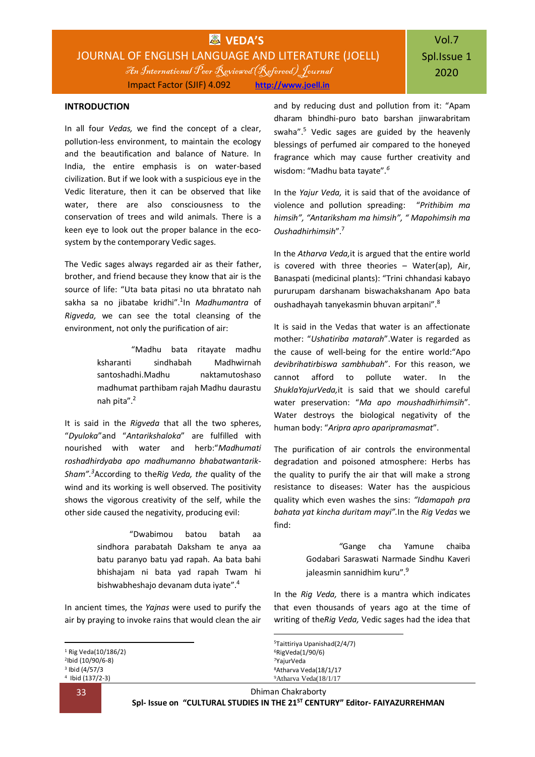#### **INTRODUCTION**

In all four *Vedas,* we find the concept of a clear, pollution-less environment, to maintain the ecology and the beautification and balance of Nature. In India, the entire emphasis is on water-based civilization. But if we look with a suspicious eye in the Vedic literature, then it can be observed that like water, there are also consciousness to the conservation of trees and wild animals. There is a keen eye to look out the proper balance in the ecosystem by the contemporary Vedic sages.

The Vedic sages always regarded air as their father, brother, and friend because they know that air is the source of life: "Uta bata pitasi no uta bhratato nah sakha sa no jibatabe kridhi".<sup>1</sup> In *Madhumantra* of *Rigveda,* we can see the total cleansing of the environment, not only the purification of air:

> "Madhu bata ritayate madhu ksharanti sindhabah Madhwirnah santoshadhi.Madhu naktamutoshaso madhumat parthibam rajah Madhu daurastu nah pita".<sup>2</sup>

It is said in the *Rigveda* that all the two spheres, "*Dyuloka*"and "*Antarikshaloka*" are fulfilled with nourished with water and herb:"*Madhumati roshadhirdyaba apo madhumanno bhabatwantarik-Sham".<sup>3</sup>*According to the*Rig Veda, the* quality of the wind and its working is well observed. The positivity shows the vigorous creativity of the self, while the other side caused the negativity, producing evil:

> "Dwabimou batou batah aa sindhora parabatah Daksham te anya aa batu paranyo batu yad rapah. Aa bata bahi bhishajam ni bata yad rapah Twam hi bishwabheshajo devanam duta iyate".<sup>4</sup>

In ancient times, the *Yajnas* were used to purify the air by praying to invoke rains that would clean the air

 Rig Veda(10/186/2) Ibid (10/90/6-8) Ibid (4/57/3 Ibid (137/2-3)

1

and by reducing dust and pollution from it: "Apam dharam bhindhi-puro bato barshan jinwarabritam swaha".<sup>5</sup> Vedic sages are guided by the heavenly blessings of perfumed air compared to the honeyed fragrance which may cause further creativity and wisdom: "Madhu bata tayate"*. 6*

In the *Yajur Veda,* it is said that of the avoidance of violence and pollution spreading: "*Prithibim ma himsih", "Antariksham ma himsih", " Mapohimsih ma Oushadhirhimsih*".<sup>7</sup>

In the *Atharva Veda,*it is argued that the entire world is covered with three theories – Water(ap), Air, Banaspati (medicinal plants): "Trini chhandasi kabayo pururupam darshanam biswachakshanam Apo bata oushadhayah tanyekasmin bhuvan arpitani".<sup>8</sup>

It is said in the Vedas that water is an affectionate mother: "*Ushatiriba matarah*".Water is regarded as the cause of well-being for the entire world:"Apo *devibrihatirbiswa sambhubah*". For this reason, we cannot afford to pollute water. In the *ShuklaYajurVeda,*it is said that we should careful water preservation: "*Ma apo moushadhirhimsih*". Water destroys the biological negativity of the human body: "*Aripra apro aparipramasmat*".

The purification of air controls the environmental degradation and poisoned atmosphere: Herbs has the quality to purify the air that will make a strong resistance to diseases: Water has the auspicious quality which even washes the sins: *"Idamapah pra bahata yat kincha duritam mayi".*In the *Rig Vedas* we find:

> *"*Gange cha Yamune chaiba Godabari Saraswati Narmade Sindhu Kaveri jaleasmin sannidhim kuru".<sup>9</sup>

In the *Rig Veda,* there is a mantra which indicates that even thousands of years ago at the time of writing of the*Rig Veda,* Vedic sages had the idea that

33 Dhiman Chakraborty

1

**Spl- Issue on "CULTURAL STUDIES IN THE 21ST CENTURY" Editor- FAIYAZURREHMAN**

<sup>5</sup>Taittiriya Upanishad(2/4/7) <sup>6</sup>RigVeda(1/90/6) <sup>7</sup>YajurVeda <sup>8</sup>Atharva Veda(18/1/17 9Atharva Veda(18/1/17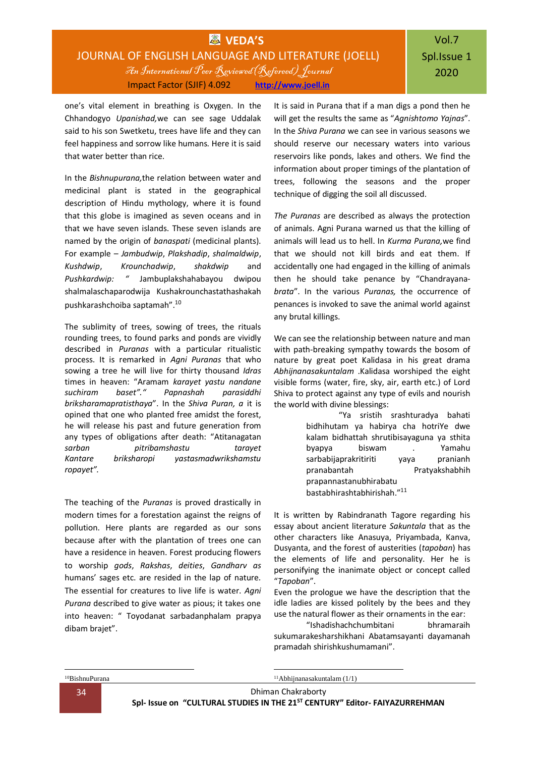## **WEDA'S** JOURNAL OF ENGLISH LANGUAGE AND LITERATURE (JOELL) An International Peer Reviewed(Refereed) Journal Impact Factor (SJIF) 4.092 **[http://www.joell.in](http://www.joell.in/)**

one's vital element in breathing is Oxygen. In the Chhandogyo *Upanishad,*we can see sage Uddalak said to his son Swetketu, trees have life and they can feel happiness and sorrow like humans. Here it is said that water better than rice.

In the *Bishnupurana,*the relation between water and medicinal plant is stated in the geographical description of Hindu mythology, where it is found that this globe is imagined as seven oceans and in that we have seven islands. These seven islands are named by the origin of *banaspati* (medicinal plants). For example – *Jambudwip*, *Plakshadip*, *shalmaldwip*, *Kushdwip*, *Krounchadwip*, *shakdwip* and *Pushkardwip: "* Jambuplakshahabayou dwipou shalmalaschaparodwija Kushakrounchastathashakah pushkarashchoiba saptamah".<sup>10</sup>

The sublimity of trees, sowing of trees, the rituals rounding trees, to found parks and ponds are vividly described in *Puranas* with a particular ritualistic process. It is remarked in *Agni Puranas* that who sowing a tree he will live for thirty thousand *Idras*  times in heaven: "Aramam *karayet yastu nandane suchiram baset"." Papnashah parasiddhi briksharamapratisthaya*". In the *Shiva Puran, a* it is opined that one who planted free amidst the forest, he will release his past and future generation from any types of obligations after death: "Atitanagatan *sarban pitribamshastu tarayet Kantare briksharopi yastasmadwrikshamstu ropayet".*

The teaching of the *Puranas* is proved drastically in modern times for a forestation against the reigns of pollution. Here plants are regarded as our sons because after with the plantation of trees one can have a residence in heaven. Forest producing flowers to worship *gods*, *Rakshas*, *deities*, *Gandharv as* humans' sages etc. are resided in the lap of nature. The essential for creatures to live life is water. *Agni Purana* described to give water as pious; it takes one into heaven: " Toyodanat sarbadanphalam prapya dibam brajet".

It is said in Purana that if a man digs a pond then he will get the results the same as "*Agnishtomo Yajnas*". In the *Shiva Purana* we can see in various seasons we should reserve our necessary waters into various reservoirs like ponds, lakes and others. We find the information about proper timings of the plantation of trees, following the seasons and the proper technique of digging the soil all discussed.

*The Puranas* are described as always the protection of animals. Agni Purana warned us that the killing of animals will lead us to hell. In *Kurma Purana,*we find that we should not kill birds and eat them. If accidentally one had engaged in the killing of animals then he should take penance by "Chandrayana*brata*". In the various *Puranas,* the occurrence of penances is invoked to save the animal world against any brutal killings.

We can see the relationship between nature and man with path-breaking sympathy towards the bosom of nature by great poet Kalidasa in his great drama *Abhijnanasakuntalam* .Kalidasa worshiped the eight visible forms (water, fire, sky, air, earth etc.) of Lord Shiva to protect against any type of evils and nourish the world with divine blessings:

> "Ya sristih srashturadya bahati bidhihutam ya habirya cha hotriYe dwe kalam bidhattah shrutibisayaguna ya sthita byapya biswam . Yamahu sarbabijaprakritiriti yaya pranianh pranabantah Pratyakshabhih prapannastanubhirabatu bastabhirashtabhirishah."<sup>11</sup>

It is written by Rabindranath Tagore regarding his essay about ancient literature *Sakuntala* that as the other characters like Anasuya, Priyambada, Kanva, Dusyanta, and the forest of austerities (*tapoban*) has the elements of life and personality. Her he is personifying the inanimate object or concept called "*Tapoban*".

Even the prologue we have the description that the idle ladies are kissed politely by the bees and they use the natural flower as their ornaments in the ear:

"Ishadishachchumbitani bhramaraih sukumarakesharshikhani Abatamsayanti dayamanah pramadah shirishkushumamani".

1

1  $11$ Abhijnanasakuntalam (1/1)

34 Dhiman Chakraborty

**Spl- Issue on "CULTURAL STUDIES IN THE 21ST CENTURY" Editor- FAIYAZURREHMAN**

<sup>10</sup>BishnuPurana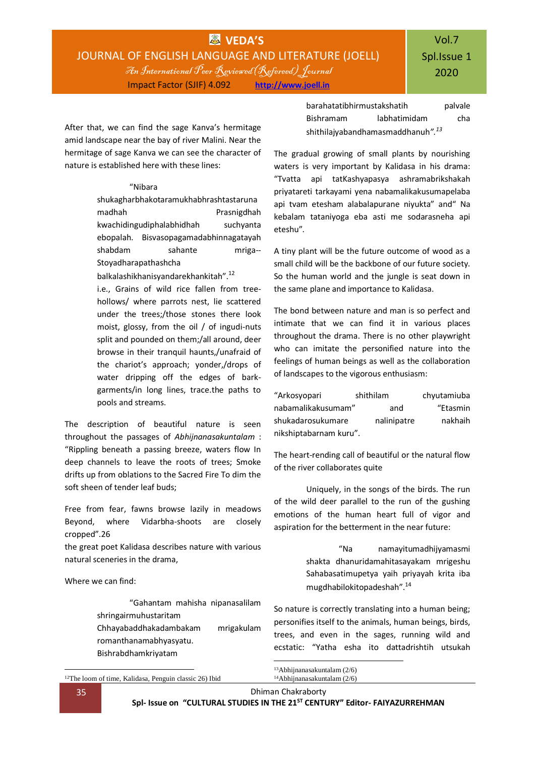## **WEDA'S** JOURNAL OF ENGLISH LANGUAGE AND LITERATURE (JOELL) An International Peer Reviewed(Refereed) Journal Impact Factor (SJIF) 4.092 **[http://www.joell.in](http://www.joell.in/)**

After that, we can find the sage Kanva's hermitage amid landscape near the bay of river Malini. Near the hermitage of sage Kanva we can see the character of nature is established here with these lines:

#### "Nibara

shukagharbhakotaramukhabhrashtastaruna madhah Prasnigdhah kwachidingudiphalabhidhah suchyanta ebopalah. Bisvasopagamadabhinnagatayah shabdam sahante mriga-- Stoyadharapathashcha

balkalashikhanisyandarekhankitah".<sup>12</sup>

i.e., Grains of wild rice fallen from treehollows/ where parrots nest, lie scattered under the trees;/those stones there look moist, glossy, from the oil / of ingudi-nuts split and pounded on them;/all around, deer browse in their tranquil haunts,/unafraid of the chariot's approach; yonder,/drops of water dripping off the edges of barkgarments/in long lines, trace.the paths to pools and streams.

The description of beautiful nature is seen throughout the passages of *Abhijnanasakuntalam* : "Rippling beneath a passing breeze, waters flow In deep channels to leave the roots of trees; Smoke drifts up from oblations to the Sacred Fire To dim the soft sheen of tender leaf buds;

Free from fear, fawns browse lazily in meadows Beyond, where Vidarbha-shoots are closely cropped".26

the great poet Kalidasa describes nature with various natural sceneries in the drama,

Where we can find:

"Gahantam mahisha nipanasalilam shringairmuhustaritam Chhayabaddhakadambakam mrigakulam

- romanthanamabhyasyatu.
- Bishrabdhamkriyatam

barahatatibhirmustakshatih palvale Bishramam labhatimidam cha shithilajyabandhamasmaddhanuh*".<sup>13</sup>*

The gradual growing of small plants by nourishing waters is very important by Kalidasa in his drama: "Tvatta api tatKashyapasya ashramabrikshakah priyatareti tarkayami yena nabamalikakusumapelaba api tvam etesham alabalapurane niyukta" and" Na kebalam tataniyoga eba asti me sodarasneha api eteshu"*.*

A tiny plant will be the future outcome of wood as a small child will be the backbone of our future society. So the human world and the jungle is seat down in the same plane and importance to Kalidasa.

The bond between nature and man is so perfect and intimate that we can find it in various places throughout the drama. There is no other playwright who can imitate the personified nature into the feelings of human beings as well as the collaboration of landscapes to the vigorous enthusiasm:

| "Arkosyopari           | shithilam   | chyutamiuba |
|------------------------|-------------|-------------|
| nabamalikakusumam"     | and         | "Etasmin    |
| shukadarosukumare      | nalinipatre | nakhaih     |
| nikshiptabarnam kuru". |             |             |

The heart-rending call of beautiful or the natural flow of the river collaborates quite

Uniquely, in the songs of the birds. The run of the wild deer parallel to the run of the gushing emotions of the human heart full of vigor and aspiration for the betterment in the near future:

> "Na namayitumadhijyamasmi shakta dhanuridamahitasayakam mrigeshu Sahabasatimupetya yaih priyayah krita iba mugdhabilokitopadeshah".<sup>14</sup>

So nature is correctly translating into a human being; personifies itself to the animals, human beings, birds, trees, and even in the sages, running wild and ecstatic: "Yatha esha ito dattadrishtih utsukah

<sup>13</sup>Abhijnanasakuntalam (2/6) 14Abhijnanasakuntalam (2/6)

1

<sup>1</sup> <sup>12</sup>The loom of time, Kalidasa, Penguin classic 26) Ibid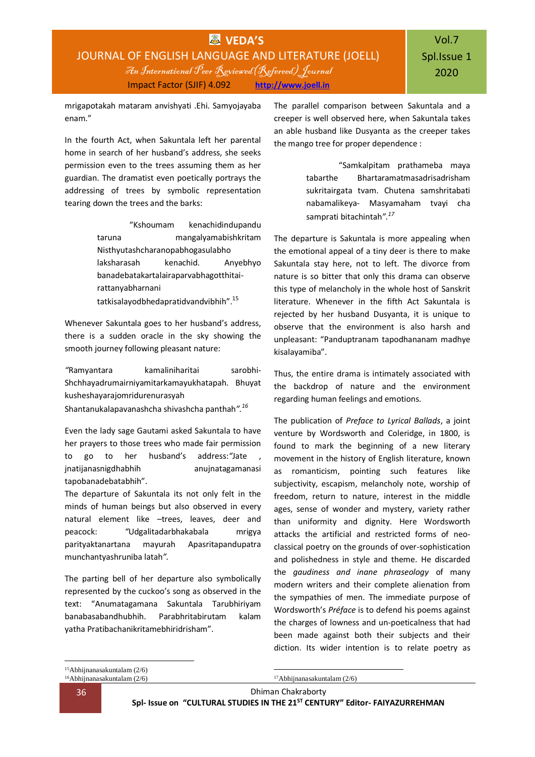mrigapotakah mataram anvishyati .Ehi. Samyojayaba enam."

In the fourth Act, when Sakuntala left her parental home in search of her husband's address, she seeks permission even to the trees assuming them as her guardian. The dramatist even poetically portrays the addressing of trees by symbolic representation tearing down the trees and the barks:

> "Kshoumam kenachidindupandu taruna mangalyamabishkritam Nisthyutashcharanopabhogasulabho laksharasah kenachid. Anyebhyo banadebatakartalairaparvabhagotthitairattanyabharnani tatkisalayodbhedapratidvandvibhih".<sup>15</sup>

Whenever Sakuntala goes to her husband's address, there is a sudden oracle in the sky showing the smooth journey following pleasant nature:

*"*Ramyantara kamaliniharitai sarobhi-Shchhayadrumairniyamitarkamayukhatapah. Bhuyat kusheshayarajomridurenurasyah

Shantanukalapavanashcha shivashcha panthah*".<sup>16</sup>*

Even the lady sage Gautami asked Sakuntala to have her prayers to those trees who made fair permission to go to her husband's address:*"*Jate , jnatijanasnigdhabhih anujnatagamanasi tapobanadebatabhih".

The departure of Sakuntala its not only felt in the minds of human beings but also observed in every natural element like –trees, leaves, deer and peacock: *"*Udgalitadarbhakabala mrigya parityaktanartana mayurah Apasritapandupatra munchantyashruniba latah*".*

The parting bell of her departure also symbolically represented by the cuckoo's song as observed in the text: "Anumatagamana Sakuntala Tarubhiriyam banabasabandhubhih. Parabhritabirutam kalam yatha Pratibachanikritamebhiridrisham".

The parallel comparison between Sakuntala and a creeper is well observed here, when Sakuntala takes an able husband like Dusyanta as the creeper takes the mango tree for proper dependence :

> "Samkalpitam prathameba maya tabarthe Bhartaramatmasadrisadrisham sukritairgata tvam. Chutena samshritabati nabamalikeya- Masyamaham tvayi cha samprati bitachintah*".<sup>17</sup>*

The departure is Sakuntala is more appealing when the emotional appeal of a tiny deer is there to make Sakuntala stay here, not to left. The divorce from nature is so bitter that only this drama can observe this type of melancholy in the whole host of Sanskrit literature. Whenever in the fifth Act Sakuntala is rejected by her husband Dusyanta, it is unique to observe that the environment is also harsh and unpleasant: "Panduptranam tapodhananam madhye kisalayamiba".

Thus, the entire drama is intimately associated with the backdrop of nature and the environment regarding human feelings and emotions.

The publication of *Preface to Lyrical Ballads*, a joint venture by Wordsworth and Coleridge, in 1800, is found to mark the beginning of a new literary movement in the history of English literature, known as romanticism, pointing such features like subjectivity, escapism, melancholy note, worship of freedom, return to nature, interest in the middle ages, sense of wonder and mystery, variety rather than uniformity and dignity. Here Wordsworth attacks the artificial and restricted forms of neoclassical poetry on the grounds of over-sophistication and polishedness in style and theme. He discarded the *gaudiness and inane phraseology* of many modern writers and their complete alienation from the sympathies of men. The immediate purpose of Wordsworth's *Préface* is to defend his poems against the charges of lowness and un-poeticalness that had been made against both their subjects and their diction. Its wider intention is to relate poetry as

1

1 17Abhijnanasakuntalam (2/6)

36 Dhiman Chakraborty **Spl- Issue on "CULTURAL STUDIES IN THE 21ST CENTURY" Editor- FAIYAZURREHMAN**

<sup>15</sup>Abhijnanasakuntalam (2/6) <sup>16</sup>Abhijnanasakuntalam (2/6)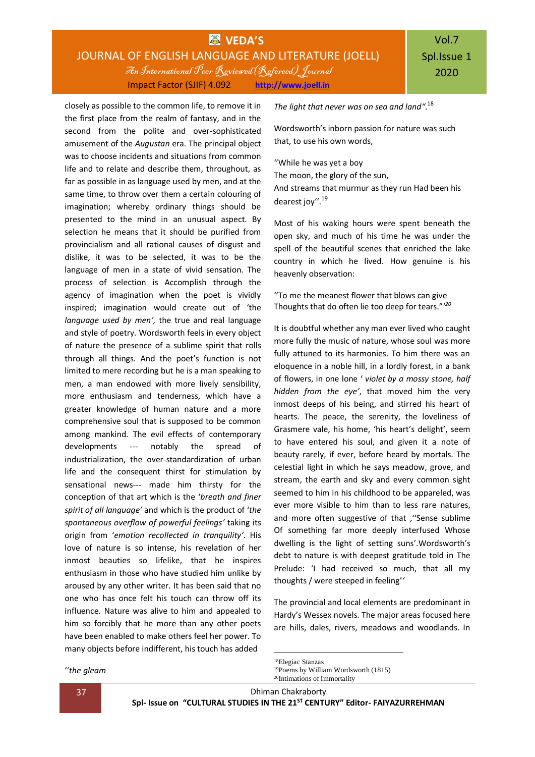## **WEDA'S** JOURNAL OF ENGLISH LANGUAGE AND LITERATURE (JOELL) An International Peer Reviewed(Refereed) Journal Impact Factor (SJIF) 4.092 **[http://www.joell.in](http://www.joell.in/)**

closely as possible to the common life, to remove it in the first place from the realm of fantasy, and in the second from the polite and over-sophisticated amusement of the *Augustan* era. The principal object was to choose incidents and situations from common life and to relate and describe them, throughout, as far as possible in as language used by men, and at the same time, to throw over them a certain colouring of imagination; whereby ordinary things should be presented to the mind in an unusual aspect. By selection he means that it should be purified from provincialism and all rational causes of disgust and dislike, it was to be selected, it was to be the language of men in a state of vivid sensation. The process of selection is Accomplish through the agency of imagination when the poet is vividly inspired; imagination would create out of 'the *language used by men',* the true and real language and style of poetry. Wordsworth feels in every object of nature the presence of a sublime spirit that rolls through all things. And the poet's function is not limited to mere recording but he is a man speaking to men, a man endowed with more lively sensibility, more enthusiasm and tenderness, which have a greater knowledge of human nature and a more comprehensive soul that is supposed to be common among mankind. The evil effects of contemporary developments --- notably the spread of industrialization, the over-standardization of urban life and the consequent thirst for stimulation by sensational news--- made him thirsty for the conception of that art which is the '*breath and finer spirit of all language'* and which is the product of '*the spontaneous overflow of powerful feelings'* taking its origin from '*emotion recollected in tranquility'*. His love of nature is so intense, his revelation of her inmost beauties so lifelike, that he inspires enthusiasm in those who have studied him unlike by aroused by any other writer. It has been said that no one who has once felt his touch can throw off its influence. Nature was alive to him and appealed to him so forcibly that he more than any other poets have been enabled to make others feel her power. To many objects before indifferent, his touch has added

*The light that never was on sea and land"*. 18

Wordsworth's inborn passion for nature was such that, to use his own words,

''While he was yet a boy The moon, the glory of the sun, And streams that murmur as they run Had been his dearest joy''.<sup>19</sup>

Most of his waking hours were spent beneath the open sky, and much of his time he was under the spell of the beautiful scenes that enriched the lake country in which he lived. How genuine is his heavenly observation:

''To me the meanest flower that blows can give Thoughts that do often lie too deep for tears."' *20*

It is doubtful whether any man ever lived who caught more fully the music of nature, whose soul was more fully attuned to its harmonies. To him there was an eloquence in a noble hill, in a lordly forest, in a bank of flowers, in one lone ' *violet by a mossy stone, half hidden from the eye'*, that moved him the very inmost deeps of his being, and stirred his heart of hearts. The peace, the serenity, the loveliness of Grasmere vale, his home, 'his heart's delight', seem to have entered his soul, and given it a note of beauty rarely, if ever, before heard by mortals. The celestial light in which he says meadow, grove, and stream, the earth and sky and every common sight seemed to him in his childhood to be appareled, was ever more visible to him than to less rare natures, and more often suggestive of that , "Sense sublime Of something far more deeply interfused Whose dwelling is the light of setting suns'.Wordsworth's debt to nature is with deepest gratitude told in The Prelude: 'I had received so much, that all my thoughts / were steeped in feeling'*'*

The provincial and local elements are predominant in Hardy's Wessex novels. The major areas focused here are hills, dales, rivers, meadows and woodlands. In

''*the gleam*

37 Dhiman Chakraborty

1

**Spl- Issue on "CULTURAL STUDIES IN THE 21ST CENTURY" Editor- FAIYAZURREHMAN**

<sup>18</sup>Elegiac Stanzas <sup>19</sup>Poems by William Wordsworth (1815) 20Intimations of Immortality